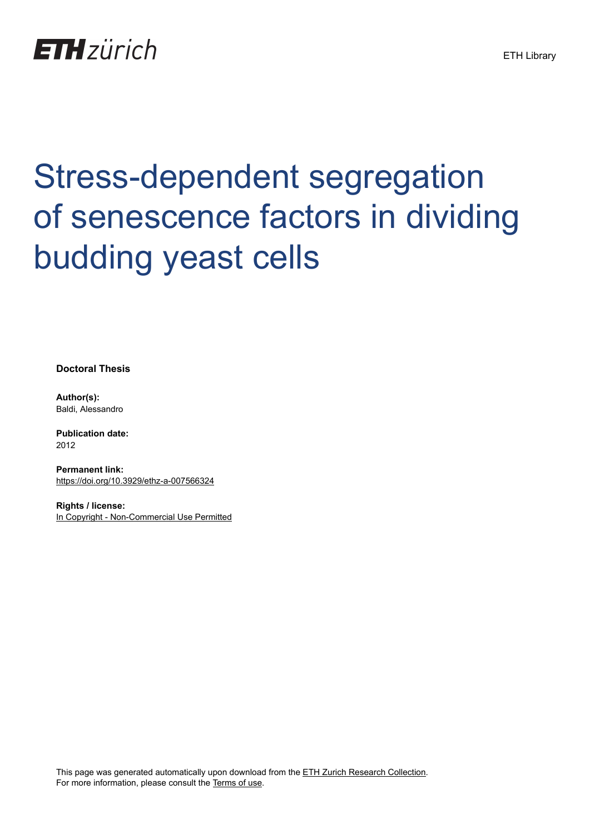

# Stress-dependent segregation of senescence factors in dividing budding yeast cells

**Doctoral Thesis**

**Author(s):** Baldi, Alessandro

**Publication date:** 2012

**Permanent link:** <https://doi.org/10.3929/ethz-a-007566324>

**Rights / license:** [In Copyright - Non-Commercial Use Permitted](http://rightsstatements.org/page/InC-NC/1.0/)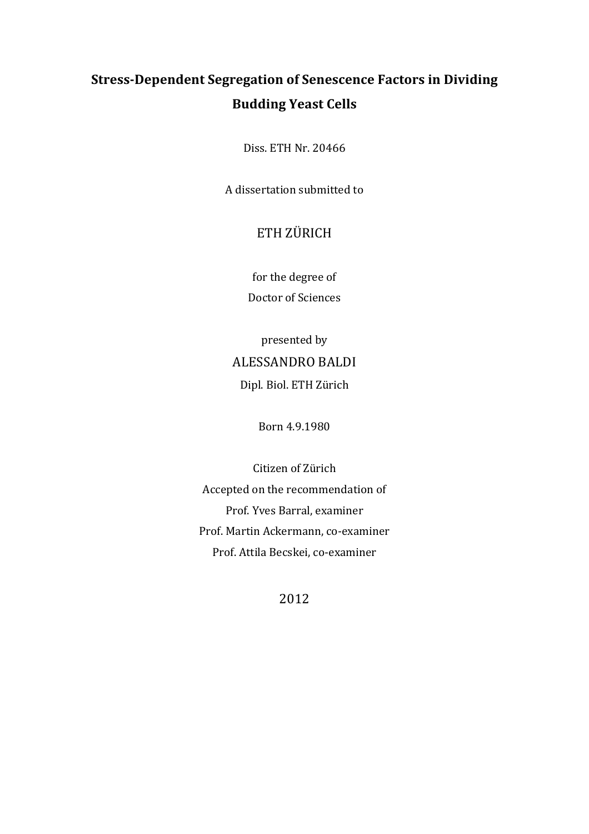## **Stress-Dependent Segregation of Senescence Factors in Dividing Budding Yeast Cells**

Diss. ETH Nr. 20466

A dissertation submitted to

### ETH ZÜRICH

for the degree of Doctor of Sciences

## presented by ALESSANDRO BALDI Dipl. Biol. ETH Zürich

Born 4.9.1980

Citizen of Zürich Accepted on the recommendation of Prof. Yves Barral, examiner Prof. Martin Ackermann, co-examiner Prof. Attila Becskei, co-examiner

2012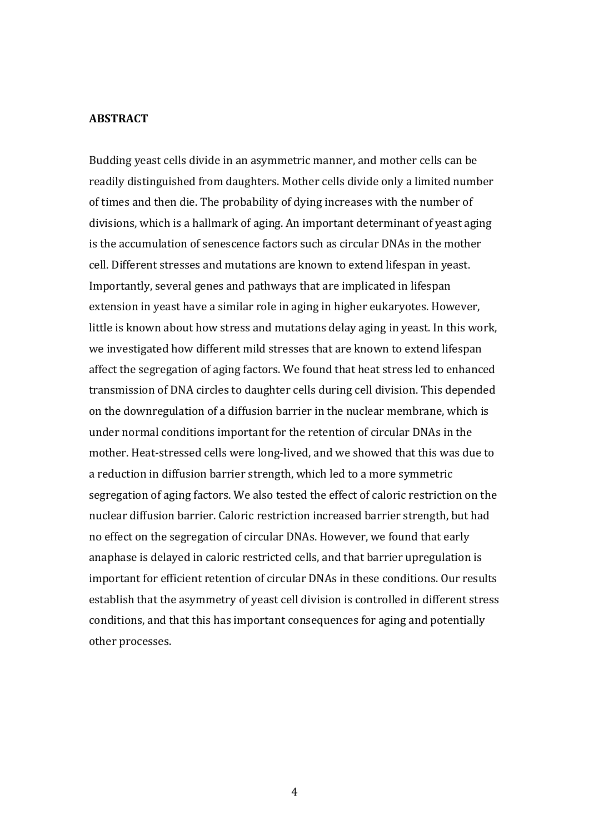#### **ABSTRACT**

Budding yeast cells divide in an asymmetric manner, and mother cells can be readily distinguished from daughters. Mother cells divide only a limited number of times and then die. The probability of dying increases with the number of divisions, which is a hallmark of aging. An important determinant of yeast aging is the accumulation of senescence factors such as circular DNAs in the mother cell. Different stresses and mutations are known to extend lifespan in yeast. Importantly, several genes and pathways that are implicated in lifespan extension in yeast have a similar role in aging in higher eukaryotes. However, little is known about how stress and mutations delay aging in yeast. In this work, we investigated how different mild stresses that are known to extend lifespan affect the segregation of aging factors. We found that heat stress led to enhanced transmission of DNA circles to daughter cells during cell division. This depended on the downregulation of a diffusion barrier in the nuclear membrane, which is under normal conditions important for the retention of circular DNAs in the mother. Heat-stressed cells were long-lived, and we showed that this was due to a reduction in diffusion barrier strength, which led to a more symmetric segregation of aging factors. We also tested the effect of caloric restriction on the nuclear diffusion barrier. Caloric restriction increased barrier strength, but had no effect on the segregation of circular DNAs. However, we found that early anaphase is delayed in caloric restricted cells, and that barrier upregulation is important for efficient retention of circular DNAs in these conditions. Our results establish that the asymmetry of yeast cell division is controlled in different stress conditions, and that this has important consequences for aging and potentially other processes.

4